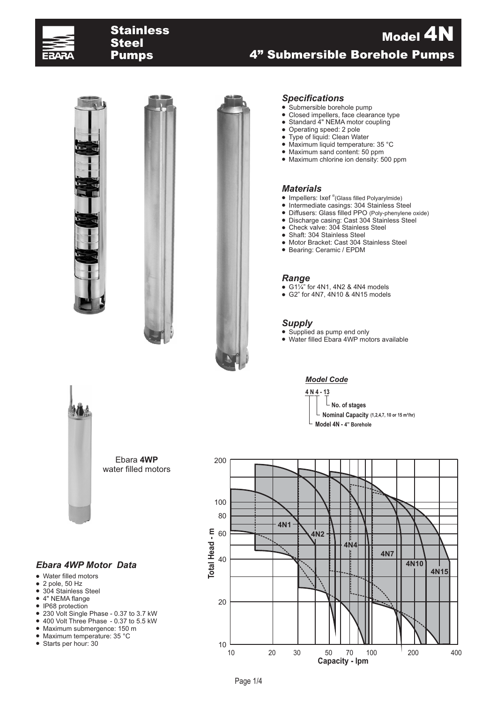

# Stainless<br>Steel Pumps

# 4" Submersible Borehole Pumps Model 4N





### *Specifications*

- Submersible borehole pump
- $\bullet$ Closed impellers, face clearance type
- $\bullet$ Standard 4" NEMA motor coupling
- $\bullet$ ● Operating speed: 2 pole<br>● Type of liquid: Clean Wa
- Type of liquid: Clean Water ˜ Maximum liquid temperature: 35 °C
- ˜ Maximum sand content: 50 ppm
- Maximum chlorine ion density: 500 ppm

### *Materials*

- Impellers: Ixef ®(Glass filled Polyarylmide)
- ˜ Intermediate casings: 304 Stainless Steel
- Diffusers: Glass filled PPO (Poly-phenylene oxide)<br>• Discharge casing: Cast 304 Stainless Steel
- ˜ Discharge casing: Cast 304 Stainless Steel
- ˜ Check valve: 304 Stainless Steel
- Shaft: 304 Stainless Steel
- Motor Bracket: Cast 304 Stainless Steel
- ˜ Bearing: Ceramic / EPDM

#### *Range*

- $\bullet$  G1 $\frac{7}{4}$ " for 4N1, 4N2 & 4N4 models
- ˜ G2" for 4N7, 4N10 & 4N15 models

### *Supply*

- Supplied as pump end only
- ˜ Water filled Ebara 4WP motors available

### *Model Code*

**4 N 4 - 13 No. of stages**  $\Box$  **Nominal Capacity** (1,2,4,7, 10 or 15 m<sup>3</sup>/hr) **Model 4N - 4" Borehole**



Ebara **4WP** water filled motors

### *Ebara 4WP Motor Data*

- ˜ Water filled motors
- $\bullet$  2 pole, 50 Hz
- 304 Stainless Steel
- 4" NEMA flange
- IP68 protection
- 230 Volt Single Phase 0.37 to 3.7 kW
- ˜ 400 Volt Three Phase 0.37 to 5.5 kW
- ˜ Maximum submergence: 150 m
- Maximum temperature: 35 °C
- ˜ Starts per hour: 30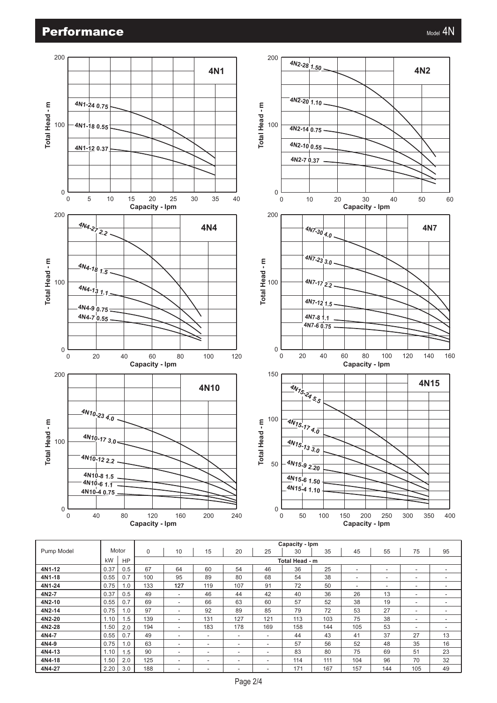

|            |      |           | Capacity - Ipm |                |                          |     |     |     |     |     |                          |     |    |  |  |  |
|------------|------|-----------|----------------|----------------|--------------------------|-----|-----|-----|-----|-----|--------------------------|-----|----|--|--|--|
| Pump Model |      | Motor     | $\Omega$       | 10             | 15                       | 20  | 25  | 30  | 35  | 45  | 55                       | 75  | 95 |  |  |  |
|            | kW   | <b>HP</b> |                | Total Head - m |                          |     |     |     |     |     |                          |     |    |  |  |  |
| 4N1-12     | 0.37 | 0.5       | 67             | 64             | 60                       | 54  | 46  | 36  | 25  | ٠   |                          | ۰   |    |  |  |  |
| 4N1-18     | 0.55 | 0.7       | 100            | 95             | 89                       | 80  | 68  | 54  | 38  | ۰   | -                        | ۰   |    |  |  |  |
| 4N1-24     | 0.75 | 1.0       | 133            | 127            | 119                      | 107 | 91  | 72  | 50  | ٠   | $\overline{\phantom{a}}$ |     | ۰  |  |  |  |
| 4N2-7      | 0.37 | 0.5       | 49             | ٠              | 46                       | 44  | 42  | 40  | 36  | 26  | 13                       | ۰   | ۰  |  |  |  |
| 4N2-10     | 0.55 | 0.7       | 69             | ٠              | 66                       | 63  | 60  | 57  | 52  | 38  | 19                       | ۰.  |    |  |  |  |
| 4N2-14     | 0.75 | 1.0       | 97             | ۰              | 92                       | 89  | 85  | 79  | 72  | 53  | 27                       | ۰   |    |  |  |  |
| 4N2-20     | 1.10 | 1.5       | 139            | ۰              | 131                      | 127 | 121 | 113 | 103 | 75  | 38                       | ۰   |    |  |  |  |
| 4N2-28     | 1.50 | 2.0       | 194            | ۰              | 183                      | 178 | 169 | 158 | 144 | 105 | 53                       | ۰   |    |  |  |  |
| 4N4-7      | 0.55 | 0.7       | 49             | ۰              | $\overline{\phantom{a}}$ | ۰   | ÷   | 44  | 43  | 41  | 37                       | 27  | 13 |  |  |  |
| 4N4-9      | 0.75 | 1.0       | 63             | ۰              | ۰                        | ۰   | ÷   | 57  | 56  | 52  | 48                       | 35  | 16 |  |  |  |
| 4N4-13     | 1.10 | 1.5       | 90             |                | ٠                        | ۰   | ۰   | 83  | 80  | 75  | 69                       | 51  | 23 |  |  |  |
| 4N4-18     | 1.50 | 2.0       | 125            | ۰              | $\overline{\phantom{a}}$ | ۰   | ۰   | 114 | 111 | 104 | 96                       | 70  | 32 |  |  |  |
| 4N4-27     | 2.20 | 3.0       | 188            | ۰              | ۰                        |     |     | 171 | 167 | 157 | 144                      | 105 | 49 |  |  |  |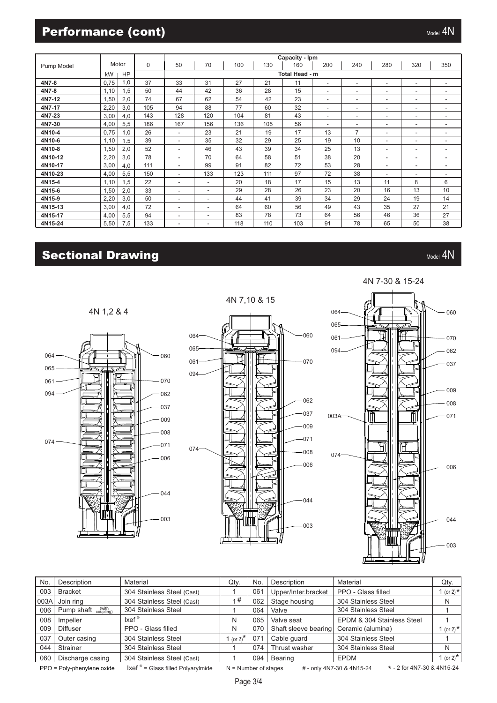## **Performance (cont)** Manual Manual Manual Manual Manual Manual Manual Manual Manual Manual Manual Manual Manual

|            |                 |     |          | Capacity - Ipm           |                          |     |     |     |                          |                          |                          |                          |     |  |  |  |  |
|------------|-----------------|-----|----------|--------------------------|--------------------------|-----|-----|-----|--------------------------|--------------------------|--------------------------|--------------------------|-----|--|--|--|--|
| Pump Model | Motor           |     | $\Omega$ | 50                       | 70                       | 100 | 130 | 160 | 200                      | 240                      | 280                      | 320                      | 350 |  |  |  |  |
|            | kW<br><b>HP</b> |     |          | Total Head - m           |                          |     |     |     |                          |                          |                          |                          |     |  |  |  |  |
| 4N7-6      | 0,75            | 1,0 | 37       | 33                       | 31                       | 27  | 21  | 11  | ٠                        | ٠                        | $\overline{\phantom{a}}$ | $\overline{\phantom{a}}$ | ٠   |  |  |  |  |
| 4N7-8      | 1,10            | 1,5 | 50       | 44                       | 42                       | 36  | 28  | 15  | ٠                        | ٠                        | $\blacksquare$           | $\overline{\phantom{a}}$ | ٠   |  |  |  |  |
| 4N7-12     | 1,50            | 2,0 | 74       | 67                       | 62                       | 54  | 42  | 23  | $\overline{\phantom{a}}$ | $\overline{\phantom{a}}$ | $\overline{\phantom{a}}$ | ٠.                       | ٠   |  |  |  |  |
| 4N7-17     | 2,20            | 3,0 | 105      | 94                       | 88                       | 77  | 60  | 32  | ۰.                       | ٠                        | $\overline{\phantom{a}}$ | ٠                        | ٠   |  |  |  |  |
| 4N7-23     | 3,00            | 4,0 | 143      | 128                      | 120                      | 104 | 81  | 43  | ۰                        | $\sim$                   | $\overline{\phantom{a}}$ | $\overline{\phantom{a}}$ | ۰   |  |  |  |  |
| 4N7-30     | 4,00            | 5,5 | 186      | 167                      | 156                      | 136 | 105 | 56  | ٠                        | ٠                        | $\overline{\phantom{a}}$ | ٠                        | ٠   |  |  |  |  |
| 4N10-4     | 0,75            | 1,0 | 26       | ٠                        | 23                       | 21  | 19  | 17  | 13                       | $\overline{7}$           | $\overline{\phantom{a}}$ | ٠                        | ۰   |  |  |  |  |
| 4N10-6     | 1,10            | 1.5 | 39       | $\overline{\phantom{0}}$ | 35                       | 32  | 29  | 25  | 19                       | 10                       | $\overline{\phantom{a}}$ | ٠.                       | ٠   |  |  |  |  |
| 4N10-8     | 1,50            | 2,0 | 52       | $\overline{\phantom{0}}$ | 46                       | 43  | 39  | 34  | 25                       | 13                       | $\overline{\phantom{a}}$ | $\overline{\phantom{a}}$ | ٠   |  |  |  |  |
| 4N10-12    | 2,20            | 3,0 | 78       | $\overline{\phantom{0}}$ | 70                       | 64  | 58  | 51  | 38                       | 20                       | $\blacksquare$           | ٠.                       | ۰   |  |  |  |  |
| 4N10-17    | 3,00            | 4,0 | 111      | ٠                        | 99                       | 91  | 82  | 72  | 53                       | 28                       | $\blacksquare$           | ٠                        | ٠   |  |  |  |  |
| 4N10-23    | 4,00            | 5,5 | 150      | $\overline{\phantom{0}}$ | 133                      | 123 | 111 | 97  | 72                       | 38                       | $\overline{\phantom{a}}$ | $\overline{\phantom{a}}$ | ٠   |  |  |  |  |
| 4N15-4     | 1,10            | 1,5 | 22       | $\overline{\phantom{0}}$ | $\overline{\phantom{a}}$ | 20  | 18  | 17  | 15                       | 13                       | 11                       | 8                        | 6   |  |  |  |  |
| 4N15-6     | 1,50            | 2,0 | 33       | ٠                        | $\overline{\phantom{a}}$ | 29  | 28  | 26  | 23                       | 20                       | 16                       | 13                       | 10  |  |  |  |  |
| 4N15-9     | 2,20            | 3,0 | 50       | $\overline{\phantom{0}}$ | $\overline{\phantom{a}}$ | 44  | 41  | 39  | 34                       | 29                       | 24                       | 19                       | 14  |  |  |  |  |
| 4N15-13    | 3,00            | 4,0 | 72       | $\overline{\phantom{0}}$ | $\overline{\phantom{a}}$ | 64  | 60  | 56  | 49                       | 43                       | 35                       | 27                       | 21  |  |  |  |  |
| 4N15-17    | 4,00            | 5,5 | 94       | ٠                        | $\overline{\phantom{a}}$ | 83  | 78  | 73  | 64                       | 56                       | 46                       | 36                       | 27  |  |  |  |  |
| 4N15-24    | 5,50            | 7,5 | 133      | ٠                        | ۰                        | 118 | 110 | 103 | 91                       | 78                       | 65                       | 50                       | 38  |  |  |  |  |
|            |                 |     |          |                          |                          |     |     |     |                          |                          |                          |                          |     |  |  |  |  |

# Sectional Drawing Material Management of the Contract of the Contract of the Contract of the Contract of the Contract of the Contract of the Contract of the Contract of the Contract of the Contract of the Contract of the C

4N 1,2 & 4





4N 7,10 & 15

# 4N 7-30 & 15-24



| No.                                                                                                                                                                               | Description                                     | Material                   | Qty.          | No. | Description          | Material                   | Qty.                  |  |  |  |
|-----------------------------------------------------------------------------------------------------------------------------------------------------------------------------------|-------------------------------------------------|----------------------------|---------------|-----|----------------------|----------------------------|-----------------------|--|--|--|
| 003                                                                                                                                                                               | <b>Bracket</b>                                  | 304 Stainless Steel (Cast) |               | 061 | Upper/Inter.bracket  | PPO - Glass filled         | 1 (or 2) $*$          |  |  |  |
| 003A                                                                                                                                                                              | Join ring                                       | 304 Stainless Steel (Cast) | 1#            | 062 | Stage housing        | 304 Stainless Steel        | N                     |  |  |  |
| 006                                                                                                                                                                               | Pump shaft $_{\text{coupling}}^{(\text{with})}$ | 304 Stainless Steel        |               | 064 | Valve                | 304 Stainless Steel        |                       |  |  |  |
| 008                                                                                                                                                                               | Impeller                                        | $lxef^{\circ}$             | N             | 065 | Valve seat           | EPDM & 304 Stainless Steel |                       |  |  |  |
| 009                                                                                                                                                                               | Diffuser                                        | PPO - Glass filled         | N<br>070      |     | Shaft sleeve bearing | Ceramic (alumina)          | 1 (or 2) $*$          |  |  |  |
| 037                                                                                                                                                                               | Outer casing                                    | 304 Stainless Steel        | 1 (or $2^{*}$ | 071 | Cable quard          | 304 Stainless Steel        |                       |  |  |  |
| 044                                                                                                                                                                               | Strainer                                        | 304 Stainless Steel        |               | 074 | Thrust washer        | 304 Stainless Steel        | N                     |  |  |  |
| 060                                                                                                                                                                               | Discharge casing                                | 304 Stainless Steel (Cast) |               | 094 | Bearing              | EPDM                       | 1 (or 2) <sup>*</sup> |  |  |  |
| * - 2 for 4N7-30 & 4N15-24<br>$\lvert \text{xef} \rvert^{\circ}$ = Glass filled Polyarylmide<br>PPO = Poly-phenylene oxide<br>$N =$ Number of stages<br># - only 4N7-30 & 4N15-24 |                                                 |                            |               |     |                      |                            |                       |  |  |  |